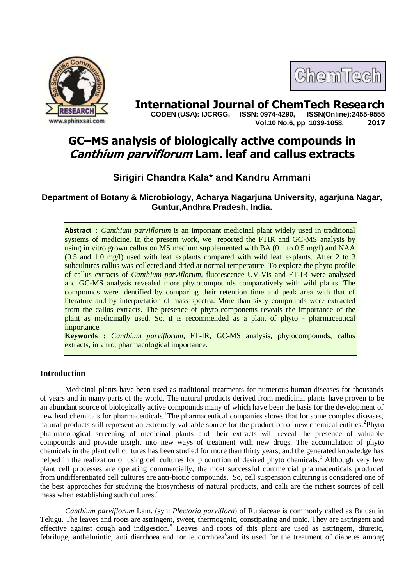

# ChemTech

**International Journal of ChemTech Research copen (USA): IJCRGG. ISSN: 0974-4290. ISSN(Online):2455-9555 CODEN (USA): IJCRGG, ISSN: 0974-4290, Vol.10 No.6, pp 1039-1058, 2017**

# **GC–MS analysis of biologically active compounds in Canthium parviflorum Lam. leaf and callus extracts**

# **Sirigiri Chandra Kala\* and Kandru Ammani**

**Department of Botany & Microbiology, Acharya Nagarjuna University, agarjuna Nagar, Guntur,Andhra Pradesh, India.**

**Abstract :** *Canthium parviflorum* is an important medicinal plant widely used in traditional systems of medicine. In the present work, we reported the FTIR and GC-MS analysis by using in vitro grown callus on MS medium supplemented with BA  $(0.1 \text{ to } 0.5 \text{ mg/l})$  and NAA (0.5 and 1.0 mg/l) used with leaf explants compared with wild leaf explants. After 2 to 3 subcultures callus was collected and dried at normal temperature. To explore the phyto profile of callus extracts of *Canthium parviflorum,* fluorescence UV-Vis and FT-IR were analysed and GC-MS analysis revealed more phytocompounds comparatively with wild plants. The compounds were identified by comparing their retention time and peak area with that of literature and by interpretation of mass spectra. More than sixty compounds were extracted from the callus extracts. The presence of phyto-components reveals the importance of the plant as medicinally used. So, it is recommended as a plant of phyto - pharmaceutical importance.

**Keywords :** *Canthium parviflorum,* FT-IR, GC-MS analysis, phytocompounds, callus extracts, in vitro, pharmacological importance.

## **Introduction**

Medicinal plants have been used as traditional treatments for numerous human diseases for thousands of years and in many parts of the world. The natural products derived from medicinal plants have proven to be an abundant source of biologically active compounds many of which have been the basis for the development of new lead chemicals for pharmaceuticals.<sup>1</sup>The pharmaceutical companies shows that for some complex diseases, natural products still represent an extremely valuable source for the production of new chemical entities.<sup>2</sup>Phyto pharmacological screening of medicinal plants and their extracts will reveal the presence of valuable compounds and provide insight into new ways of treatment with new drugs. The accumulation of phyto chemicals in the plant cell cultures has been studied for more than thirty years, and the generated knowledge has helped in the realization of using cell cultures for production of desired phyto chemicals.<sup>3</sup> Although very few plant cell processes are operating commercially, the most successful commercial pharmaceuticals produced from undifferentiated cell cultures are anti-biotic compounds. So, cell suspension culturing is considered one of the best approaches for studying the biosynthesis of natural products, and calli are the richest sources of cell mass when establishing such cultures.<sup>4</sup>

*Canthium parviflorum* Lam. (syn: *Plectoria parviflora*) of Rubiaceae is commonly called as Balusu in Telugu. The leaves and roots are astringent, sweet, thermogenic, constipating and tonic. They are astringent and effective against cough and indigestion.<sup>5</sup> Leaves and roots of this plant are used as astringent, diuretic, febrifuge, anthelmintic, anti diarrhoea and for leucorrhoea<sup>6</sup> and its used for the treatment of diabetes among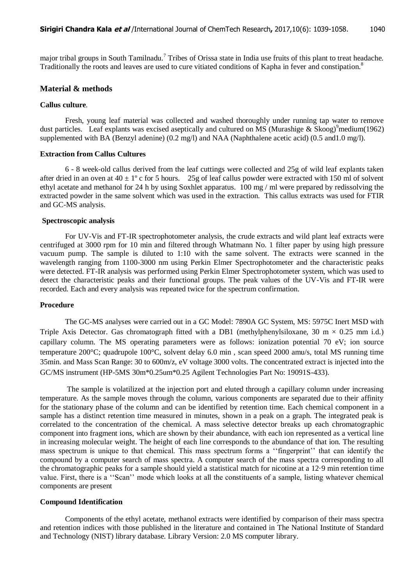major tribal groups in South Tamilnadu.<sup>7</sup> Tribes of Orissa state in India use fruits of this plant to treat headache. Traditionally the roots and leaves are used to cure vitiated conditions of Kapha in fever and constipation.<sup>8</sup>

### **Material & methods**

#### **Callus culture***.*

Fresh, young leaf material was collected and washed thoroughly under running tap water to remove dust particles. Leaf explants was excised aseptically and cultured on MS (Murashige & Skoog)<sup>9</sup>medium(1962) supplemented with BA (Benzyl adenine) (0.2 mg/l) and NAA (Naphthalene acetic acid) (0.5 and 1.0 mg/l).

#### **Extraction from Callus Cultures**

6 - 8 week-old callus derived from the leaf cuttings were collected and 25g of wild leaf explants taken after dried in an oven at  $40 \pm 1^{\circ}$  c for 5 hours. 25g of leaf callus powder were extracted with 150 ml of solvent ethyl acetate and methanol for 24 h by using Soxhlet apparatus. 100 mg / ml were prepared by redissolving the extracted powder in the same solvent which was used in the extraction. This callus extracts was used for FTIR and GC-MS analysis.

#### **Spectroscopic analysis**

For UV-Vis and FT-IR spectrophotometer analysis, the crude extracts and wild plant leaf extracts were centrifuged at 3000 rpm for 10 min and filtered through Whatmann No. 1 filter paper by using high pressure vacuum pump. The sample is diluted to 1:10 with the same solvent. The extracts were scanned in the wavelength ranging from 1100-3000 nm using Perkin Elmer Spectrophotometer and the characteristic peaks were detected. FT-IR analysis was performed using Perkin Elmer Spectrophotometer system, which was used to detect the characteristic peaks and their functional groups. The peak values of the UV-Vis and FT-IR were recorded. Each and every analysis was repeated twice for the spectrum confirmation.

#### **Procedure**

The GC-MS analyses were carried out in a GC Model: 7890A GC System, MS: 5975C Inert MSD with Triple Axis Detector. Gas chromatograph fitted with a DB1 (methylphenylsiloxane, 30 m  $\times$  0.25 mm i.d.) capillary column. The MS operating parameters were as follows: ionization potential 70 eV; ion source temperature 200°C; quadrupole 100°C, solvent delay 6.0 min , scan speed 2000 amu/s, total MS running time 35min. and Mass Scan Range: 30 to 600m/z, eV voltage 3000 volts. The concentrated extract is injected into the GC/MS instrument (HP-5MS 30m\*0.25um\*0.25 Agilent Technologies Part No: 19091S-433).

The sample is volatilized at the injection port and eluted through a capillary column under increasing temperature. As the sample moves through the column, various components are separated due to their affinity for the stationary phase of the column and can be identified by retention time. Each chemical component in a sample has a distinct retention time measured in minutes, shown in a peak on a graph. The integrated peak is correlated to the concentration of the chemical. A mass selective detector breaks up each chromatographic component into fragment ions, which are shown by their abundance, with each ion represented as a vertical line in increasing molecular weight. The height of each line corresponds to the abundance of that ion. The resulting mass spectrum is unique to that chemical. This mass spectrum forms a ""fingerprint"" that can identify the compound by a computer search of mass spectra. A computer search of the mass spectra corresponding to all the chromatographic peaks for a sample should yield a statistical match for nicotine at a 12·9 min retention time value. First, there is a ""Scan"" mode which looks at all the constituents of a sample, listing whatever chemical components are present

#### **Compound Identification**

Components of the ethyl acetate, methanol extracts were identified by comparison of their mass spectra and retention indices with those published in the literature and contained in The National Institute of Standard and Technology (NIST) library database. Library Version: 2.0 MS computer library.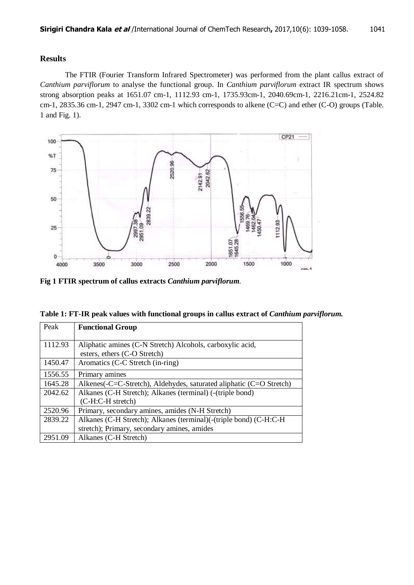## **Results**

The FTIR (Fourier Transform Infrared Spectrometer) was performed from the plant callus extract of *Canthium parviflorum* to analyse the functional group. In *Canthium parviflorum* extract IR spectrum shows strong absorption peaks at 1651.07 cm-1, 1112.93 cm-1, 1735.93cm-1, 2040.69cm-1, 2216.21cm-1, 2524.82 cm-1, 2835.36 cm-1, 2947 cm-1, 3302 cm-1 which corresponds to alkene (C=C) and ether (C-O) groups (Table. 1 and Fig. 1).



**Fig 1 FTIR spectrum of callus extracts** *Canthium parviflorum.*

| Table 1: FT-IR peak values with functional groups in callus extract of Canthium parviflorum. |  |  |  |
|----------------------------------------------------------------------------------------------|--|--|--|
|                                                                                              |  |  |  |

| Peak    | <b>Functional Group</b>                                             |
|---------|---------------------------------------------------------------------|
|         |                                                                     |
| 1112.93 | Aliphatic amines (C-N Stretch) Alcohols, carboxylic acid,           |
|         | esters, ethers (C-O Stretch)                                        |
| 1450.47 | Aromatics (C-C Stretch (in-ring)                                    |
| 1556.55 | Primary amines                                                      |
| 1645.28 | Alkenes(-C=C-Stretch), Aldehydes, saturated aliphatic (C=O Stretch) |
| 2042.62 | Alkanes (C-H Stretch); Alkanes (terminal) (-(triple bond)           |
|         | (C-H:C-H stretch)                                                   |
| 2520.96 | Primary, secondary amines, amides (N-H Stretch)                     |
| 2839.22 | Alkanes (C-H Stretch); Alkanes (terminal)(-(triple bond) (C-H:C-H   |
|         | stretch); Primary, secondary amines, amides                         |
| 2951.09 | Alkanes (C-H Stretch)                                               |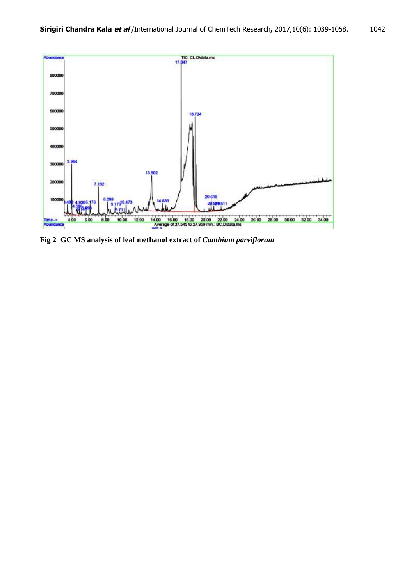

**Fig 2 GC MS analysis of leaf methanol extract of** *Canthium parviflorum*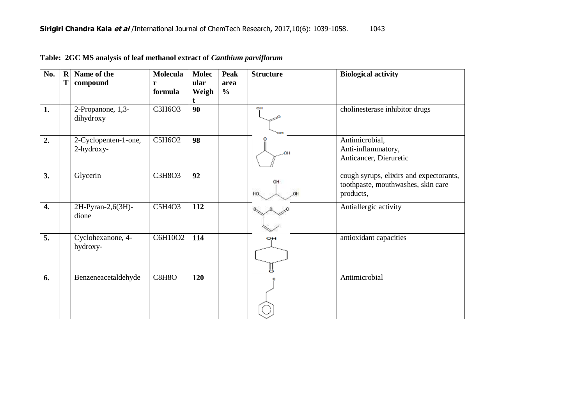| No. | $\mathbf R$<br>T | Name of the<br>compound            | <b>Molecula</b><br>r<br>formula | <b>Molec</b><br>ular<br>Weigh | <b>Peak</b><br>area<br>$\frac{6}{6}$ | <b>Structure</b> | <b>Biological activity</b>                                                                 |
|-----|------------------|------------------------------------|---------------------------------|-------------------------------|--------------------------------------|------------------|--------------------------------------------------------------------------------------------|
| 1.  |                  | 2-Propanone, 1,3-<br>dihydroxy     | C3H6O3                          | 90                            |                                      | OН<br><b>TOH</b> | cholinesterase inhibitor drugs                                                             |
| 2.  |                  | 2-Cyclopenten-1-one,<br>2-hydroxy- | C5H6O2                          | 98                            |                                      |                  | Antimicrobial,<br>Anti-inflammatory,<br>Anticancer, Dieruretic                             |
| 3.  |                  | Glycerin                           | <b>C3H8O3</b>                   | 92                            |                                      | OH<br>HO.        | cough syrups, elixirs and expectorants,<br>toothpaste, mouthwashes, skin care<br>products, |
| 4.  |                  | 2H-Pyran-2,6(3H)-<br>dione         | C5H4O3                          | 112                           |                                      |                  | Antiallergic activity                                                                      |
| 5.  |                  | Cyclohexanone, 4-<br>hydroxy-      | C6H10O2                         | 114                           |                                      | oн               | antioxidant capacities                                                                     |
| 6.  |                  | Benzeneacetaldehyde                | C8H8O                           | 120                           |                                      |                  | Antimicrobial                                                                              |

**Table: 2GC MS analysis of leaf methanol extract of** *Canthium parviflorum*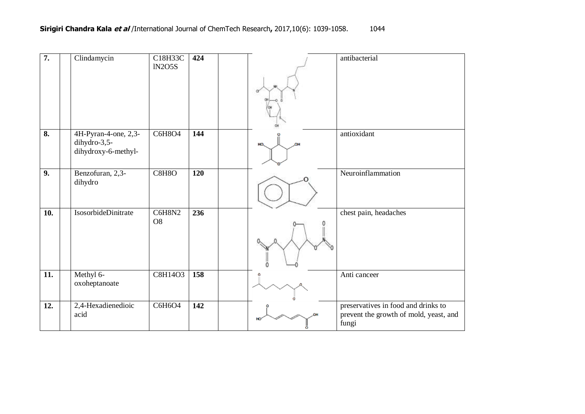| 7.                        | Clindamycin                                                 | C18H33C<br><b>IN2O5S</b> | 424 | Ó        | antibacterial                                                                          |
|---------------------------|-------------------------------------------------------------|--------------------------|-----|----------|----------------------------------------------------------------------------------------|
| $\overline{\mathbf{8}}$ . | 4H-Pyran-4-one, 2,3-<br>dihydro-3,5-<br>dihydroxy-6-methyl- | <b>C6H8O4</b>            | 144 | OH<br>но | antioxidant                                                                            |
| 9.                        | Benzofuran, 2,3-<br>dihydro                                 | C8H8O                    | 120 |          | Neuroinflammation                                                                      |
| 10.                       | IsosorbideDinitrate                                         | C6H8N2<br>O <sub>8</sub> | 236 |          | chest pain, headaches                                                                  |
| 11.                       | Methyl 6-<br>oxoheptanoate                                  | C8H14O3                  | 158 |          | Anti canceer                                                                           |
| 12.                       | 2,4-Hexadienedioic<br>acid                                  | C6H6O4                   | 142 |          | preservatives in food and drinks to<br>prevent the growth of mold, yeast, and<br>fungi |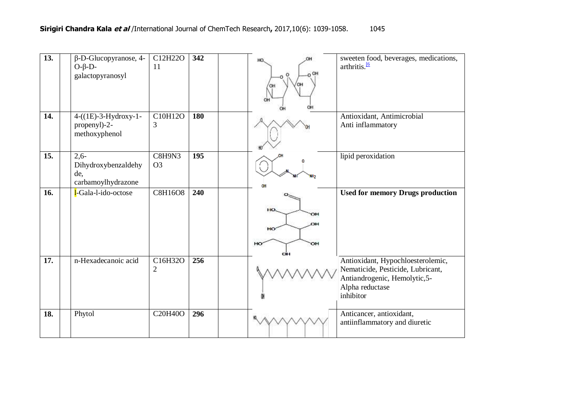| 13.               | $\beta$ -D-Glucopyranose, 4-<br>$O-\beta-D-$<br>galactopyranosyl | $\overline{C}$ 12H22O<br>11 | 342 | HO.<br>OH<br>он             | sweeten food, beverages, medications,<br>arthritis. <sup>16</sup>                                                                       |
|-------------------|------------------------------------------------------------------|-----------------------------|-----|-----------------------------|-----------------------------------------------------------------------------------------------------------------------------------------|
| 14.               | 4-((1E)-3-Hydroxy-1-<br>propenyl)-2-<br>methoxyphenol            | C10H12O<br>3                | 180 |                             | Antioxidant, Antimicrobial<br>Anti inflammatory                                                                                         |
| $\overline{15}$ . | $2,6-$<br>Dihydroxybenzaldehy<br>de,<br>carbamoylhydrazone       | C8H9N3<br>O <sub>3</sub>    | 195 | OΗ                          | lipid peroxidation                                                                                                                      |
| 16.               | l-Gala-l-ido-octose                                              | <b>C8H16O8</b>              | 240 | HO.<br>ЮH<br>HO<br>он<br>HO | <b>Used for memory Drugs production</b>                                                                                                 |
| 17.               | n-Hexadecanoic acid                                              | C16H32O<br>$\overline{2}$   | 256 |                             | Antioxidant, Hypochloesterolemic,<br>Nematicide, Pesticide, Lubricant,<br>Antiandrogenic, Hemolytic, 5-<br>Alpha reductase<br>inhibitor |
| 18.               | Phytol                                                           | C20H40O                     | 296 |                             | Anticancer, antioxidant,<br>antiinflammatory and diuretic                                                                               |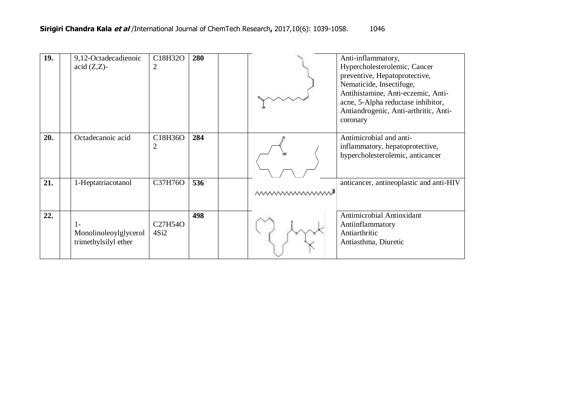| 19. | 9,12-Octadecadienoic<br>$\alpha$ cid $(Z,Z)$ -      | C18H32O<br>$\overline{2}$                 | 280 |                  | Anti-inflammatory,<br>Hypercholesterolemic, Cancer<br>preventive, Hepatoprotective,<br>Nematicide, Insectifuge,<br>Antihistamine, Anti-eczemic, Anti-<br>acne, 5-Alpha reductase inhibitor,<br>Antiandrogenic, Anti-arthritic, Anti-<br>coronary |
|-----|-----------------------------------------------------|-------------------------------------------|-----|------------------|--------------------------------------------------------------------------------------------------------------------------------------------------------------------------------------------------------------------------------------------------|
| 20. | Octadecanoic acid                                   | C18H36O<br>$\overline{2}$                 | 284 |                  | Antimicrobial and anti-<br>inflammatory, hepatoprotective,<br>hypercholesterolemic, anticancer                                                                                                                                                   |
| 21. | 1-Heptatriacotanol                                  | C37H76O                                   | 536 | <b>MWWWWWWWW</b> | anticancer, antineoplastic and anti-HIV                                                                                                                                                                                                          |
| 22. | 1-<br>Monolinoleoylglycerol<br>trimethylsilyl ether | C <sub>27</sub> H <sub>54</sub> O<br>4Si2 | 498 |                  | Antimicrobial Antioxidant<br>Antiinflammatory<br>Antiarthritic<br>Antiasthma, Diuretic                                                                                                                                                           |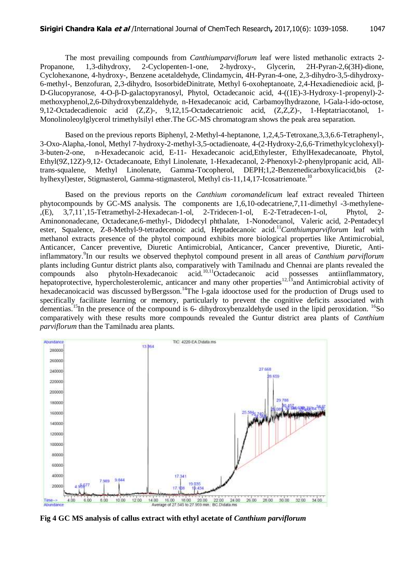The most prevailing compounds from *Canthiumparviflorum* leaf were listed methanolic extracts 2- Propanone, 1,3-dihydroxy, 2-Cyclopenten-1-one, 2-hydroxy-, Glycerin, 2H-Pyran-2,6(3H)-dione, Cyclohexanone, 4-hydroxy-, Benzene acetaldehyde, Clindamycin, 4H-Pyran-4-one, 2,3-dihydro-3,5-dihydroxy-6-methyl-, Benzofuran, 2,3-dihydro, IsosorbideDinitrate, Methyl 6-oxoheptanoate, 2,4-Hexadienedioic acid, β-D-Glucopyranose, 4-O-β-D-galactopyranosyl, Phytol, Octadecanoic acid, 4-((1E)-3-Hydroxy-1-propenyl)-2 methoxyphenol,2,6-Dihydroxybenzaldehyde, n-Hexadecanoic acid, Carbamoylhydrazone, l-Gala-l-ido-octose, 9,12-Octadecadienoic acid (Z,Z)-, 9,12,15-Octadecatrienoic acid, (Z,Z,Z)-, 1-Heptatriacotanol, 1- Monolinoleoylglycerol trimethylsilyl ether.The GC-MS chromatogram shows the peak area separation.

Based on the previous reports Biphenyl, 2-Methyl-4-heptanone, 1,2,4,5-Tetroxane,3,3,6.6-Tetraphenyl-, 3-Oxo-Alapha,-Ionol, Methyl 7-hydroxy-2-methyl-3,5-octadienoate, 4-(2-Hydroxy-2,6,6-Trimethylcyclohexyl)- 3-buten-2-one, n-Hexadecanoic acid, E-11- Hexadecanoic acid,Ethylester, EthylHexadecanoate, Phytol, Ethyl(9Z,12Z)-9,12- Octadecanoate, Ethyl Linolenate, 1-Hexadecanol, 2-Phenoxyl-2-phenylpropanic acid, Alltrans-squalene, Methyl Linolenate, Gamma-Tocopherol, DEPH;1,2-Benzenedicarboxylicacid,bis (2 hylhexyl)ester, Stigmasterol, Gamma-stigmasterol, Methyl cis-11,14,17-Icosatrienoate.<sup>10</sup>

Based on the previous reports on the *Canthium coromandelicum* leaf extract revealed Thirteen phytocompounds by GC-MS analysis*.* The components are 1,6,10-odecatriene,7,11-dimethyl -3-methylene- ,(E), 3,7,11`,15-Tetramethyl-2-Hexadecan-1-ol, 2-Tridecen-1-ol, E-2-Tetradecen-1-ol, Phytol, 2- Aminononadecane, Octadecane,6-methyl-, Didodecyl phthalate, 1-Nonodecanol, Valeric acid, 2-Pentadecyl ester, Squalence, Z-8-Methyl-9-tetradecenoic acid, Heptadecanoic acid.<sup>11</sup>Canthiumparviflorum leaf with methanol extracts presence of the phytol compound exhibits more biological properties like Antimicrobial, Anticancer, Cancer preventive, Diuretic Antimicrobial, Anticancer, Cancer preventive, Diuretic, Antiinflammatory. 9 In our results we observed thephytol compound present in all areas of *Canthium parviflorum* plants including Guntur district plants also, comparatively with Tamilnadu and Chennai are plants revealed the compounds also phytoln-Hexadecanoic  $\arctan 10,11$ Octadecanoic acid possesses antiinflammatory, hepatoprotective, hypercholesterolemic, anticancer and many other properties<sup>12,13</sup> and Antimicrobial activity of hexadecanoicacid was discussed byBergsson.<sup>14</sup>The l-gala idooctose used for the production of Drugs used to specifically facilitate learning or memory, particularly to prevent the cognitive deficits associated with dementias.<sup>15</sup>In the presence of the compound is 6- dihydroxybenzaldehyde used in the lipid peroxidation. <sup>16</sup>So comparatively with these results more compounds revealed the Guntur district area plants of *Canthium parviflorum* than the Tamilnadu area plants*.*



**Fig 4 GC MS analysis of callus extract with ethyl acetate of** *Canthium parviflorum*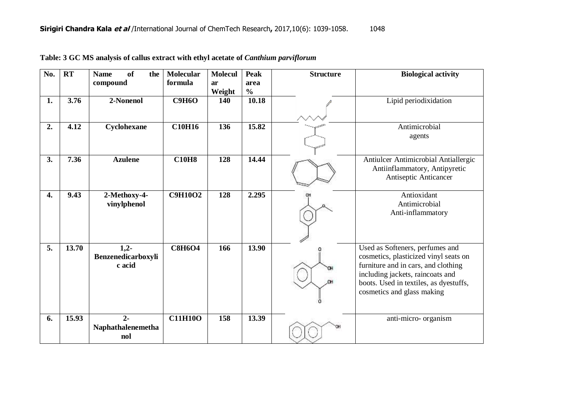| No.              | RT    | <b>of</b><br><b>Name</b><br>the<br>compound | <b>Molecular</b><br>formula | <b>Molecul</b><br>ar<br>Weight | <b>Peak</b><br>area<br>$\frac{0}{0}$ | <b>Structure</b> | <b>Biological activity</b>                                                                                                                                                                                                  |
|------------------|-------|---------------------------------------------|-----------------------------|--------------------------------|--------------------------------------|------------------|-----------------------------------------------------------------------------------------------------------------------------------------------------------------------------------------------------------------------------|
| 1.               | 3.76  | 2-Nonenol                                   | <b>C9H6O</b>                | 140                            | 10.18                                |                  | Lipid periodixidation                                                                                                                                                                                                       |
| 2.               | 4.12  | Cyclohexane                                 | <b>C10H16</b>               | 136                            | 15.82                                |                  | Antimicrobial<br>agents                                                                                                                                                                                                     |
| 3.               | 7.36  | <b>Azulene</b>                              | <b>C10H8</b>                | 128                            | 14.44                                |                  | Antiulcer Antimicrobial Antiallergic<br>Antiinflammatory, Antipyretic<br>Antiseptic Anticancer                                                                                                                              |
| 4.               | 9.43  | 2-Methoxy-4-<br>vinylphenol                 | <b>C9H10O2</b>              | 128                            | 2.295                                |                  | Antioxidant<br>Antimicrobial<br>Anti-inflammatory                                                                                                                                                                           |
| $\overline{5}$ . | 13.70 | $1,2-$<br>Benzenedicarboxyli<br>c acid      | <b>C8H6O4</b>               | 166                            | 13.90                                |                  | Used as Softeners, perfumes and<br>cosmetics, plasticized vinyl seats on<br>furniture and in cars, and clothing<br>including jackets, raincoats and<br>boots. Used in textiles, as dyestuffs,<br>cosmetics and glass making |
| 6.               | 15.93 | $2 -$<br>Naphathalenemetha<br>nol           | <b>C11H10O</b>              | 158                            | 13.39                                |                  | anti-micro- organism                                                                                                                                                                                                        |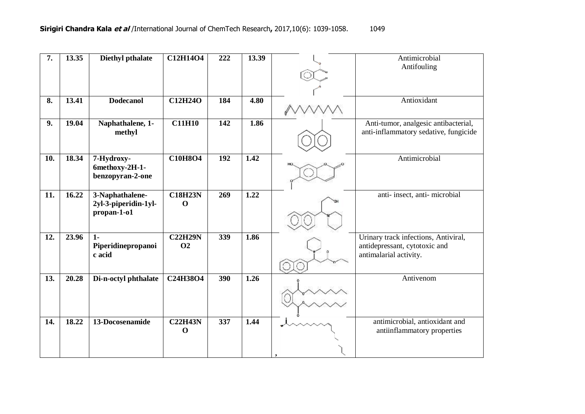| 7.  | 13.35 | <b>Diethyl pthalate</b>            | C12H14O4       | 222 | 13.39             | Antimicrobial                                           |
|-----|-------|------------------------------------|----------------|-----|-------------------|---------------------------------------------------------|
|     |       |                                    |                |     |                   | Antifouling                                             |
|     |       |                                    |                |     |                   |                                                         |
|     |       |                                    |                |     |                   |                                                         |
| 8.  | 13.41 | <b>Dodecanol</b>                   | <b>C12H24O</b> | 184 | 4.80              | Antioxidant                                             |
| 9.  | 19.04 | Naphathalene, 1-                   | <b>C11H10</b>  | 142 | 1.86              | Anti-tumor, analgesic antibacterial,                    |
|     |       | methyl                             |                |     |                   | anti-inflammatory sedative, fungicide                   |
| 10. | 18.34 | 7-Hydroxy-                         | <b>C10H8O4</b> | 192 | $\overline{1.42}$ | Antimicrobial                                           |
|     |       | 6methoxy-2H-1-<br>benzopyran-2-one |                |     |                   |                                                         |
| 11. | 16.22 | 3-Naphathalene-                    | <b>C18H23N</b> | 269 | 1.22              | anti- insect, anti- microbial                           |
|     |       | 2yl-3-piperidin-1yl-               | $\mathbf 0$    |     |                   |                                                         |
|     |       | propan-1-o1                        |                |     |                   |                                                         |
| 12. | 23.96 | $1 -$                              | <b>C22H29N</b> | 339 | 1.86              | Urinary track infections, Antiviral,                    |
|     |       | Piperidinepropanoi<br>c acid       | <b>O2</b>      |     |                   | antidepressant, cytotoxic and<br>antimalarial activity. |
|     |       |                                    |                |     |                   |                                                         |
| 13. | 20.28 | Di-n-octyl phthalate               | C24H38O4       | 390 | 1.26              | Antivenom                                               |
|     |       |                                    |                |     |                   |                                                         |
|     |       |                                    |                |     |                   |                                                         |
| 14. | 18.22 | 13-Docosenamide                    | <b>C22H43N</b> | 337 | 1.44              | antimicrobial, antioxidant and                          |
|     |       |                                    | $\mathbf 0$    |     |                   | antiinflammatory properties                             |
|     |       |                                    |                |     |                   |                                                         |
|     |       |                                    |                |     |                   |                                                         |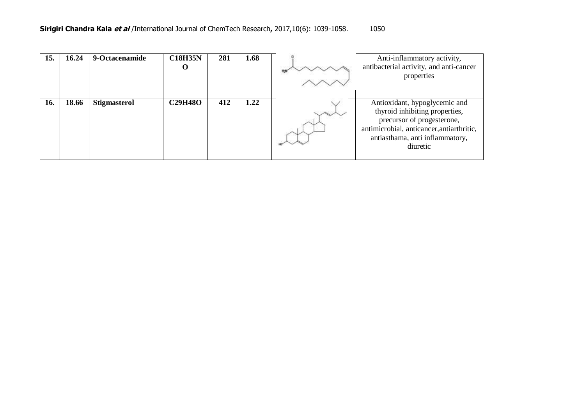| 15. | 16.24 | 9-Octacenamide      | <b>C18H35N</b><br>O | 281 | 1.68 | Anti-inflammatory activity,<br>antibacterial activity, and anti-cancer<br>properties                                                                                                      |
|-----|-------|---------------------|---------------------|-----|------|-------------------------------------------------------------------------------------------------------------------------------------------------------------------------------------------|
| 16. | 18.66 | <b>Stigmasterol</b> | <b>C29H48O</b>      | 412 | 1.22 | Antioxidant, hypoglycemic and<br>thyroid inhibiting properties,<br>precursor of progesterone,<br>antimicrobial, anticancer, antiarthritic,<br>antiasthama, anti inflammatory,<br>diuretic |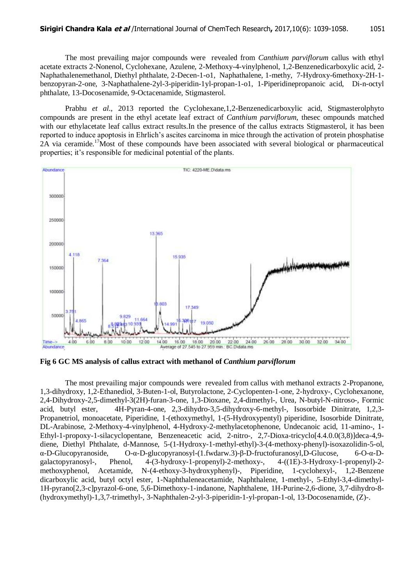The most prevailing major compounds were revealed from *Canthium parviflorum* callus with ethyl acetate extracts 2-Nonenol, Cyclohexane, Azulene, 2-Methoxy-4-vinylphenol, 1,2-Benzenedicarboxylic acid, 2- Naphathalenemethanol, Diethyl phthalate, 2-Decen-1-o1, Naphathalene, 1-methy, 7-Hydroxy-6methoxy-2H-1 benzopyran-2-one, 3-Naphathalene-2yl-3-piperidin-1yl-propan-1-o1, 1-Piperidinepropanoic acid, Di-n-octyl phthalate, 13-Docosenamide, 9-Octacenamide, Stigmasterol.

Prabhu *et al.,* 2013 reported the Cyclohexane,1,2-Benzenedicarboxylic acid, Stigmasterolphyto compounds are present in the ethyl acetate leaf extract of *Canthium parviflorum,* thesec ompounds matched with our ethylacetate leaf callus extract results.In the presence of the callus extracts Stigmasterol, it has been reported to induce apoptosis in Ehrlich"s ascites carcinoma in mice through the activation of protein phosphatise  $2\text{\AA}$  via ceramide.<sup>17</sup>Most of these compounds have been associated with several biological or pharmaceutical properties; it's responsible for medicinal potential of the plants.



**Fig 6 GC MS analysis of callus extract with methanol of** *Canthium parviflorum*

The most prevailing major compounds were revealed from callus with methanol extracts 2-Propanone, 1,3-dihydroxy, 1,2-Ethanediol, 3-Buten-1-ol, Butyrolactone, 2-Cyclopenten-1-one, 2-hydroxy-, Cyclohexanone, 2,4-Dihydroxy-2,5-dimethyl-3(2H)-furan-3-one, 1,3-Dioxane, 2,4-dimethyl-, Urea, N-butyl-N-nitroso-, Formic acid, butyl ester, 4H-Pyran-4-one, 2,3-dihydro-3,5-dihydroxy-6-methyl-, Isosorbide Dinitrate, 1,2,3- Propanetriol, monoacetate, Piperidine, 1-(ethoxymethyl, 1-(5-Hydroxypentyl) piperidine, Isosorbide Dinitrate, DL-Arabinose, 2-Methoxy-4-vinylphenol, 4-Hydroxy-2-methylacetophenone, Undecanoic acid, 11-amino-, 1- Ethyl-1-propoxy-1-silacyclopentane, Benzeneacetic acid, 2-nitro-, 2,7-Dioxa-tricyclo[4.4.0.0(3,8)]deca-4,9 diene, Diethyl Phthalate, d-Mannose, 5-(1-Hydroxy-1-methyl-ethyl)-3-(4-methoxy-phenyl)-isoxazolidin-5-ol, α-D-Glucopyranoside, O-α-D-glucopyranosyl-(1.fwdarw.3)-β-D-fructofuranosyl,D-Glucose, 6-O-α-Dgalactopyranosyl-, Phenol, 4-(3-hydroxy-1-propenyl)-2-methoxy-, 4-((1E)-3-Hydroxy-1-propenyl)-2 methoxyphenol, Acetamide, N-(4-ethoxy-3-hydroxyphenyl)-, Piperidine, 1-cyclohexyl-, 1,2-Benzene dicarboxylic acid, butyl octyl ester, 1-Naphthaleneacetamide, Naphthalene, 1-methyl-, 5-Ethyl-3,4-dimethyl-1H-pyrano[2,3-c]pyrazol-6-one, 5,6-Dimethoxy-1-indanone, Naphthalene, 1H-Purine-2,6-dione, 3,7-dihydro-8- (hydroxymethyl)-1,3,7-trimethyl-, 3-Naphthalen-2-yl-3-piperidin-1-yl-propan-1-ol, 13-Docosenamide, (Z)-.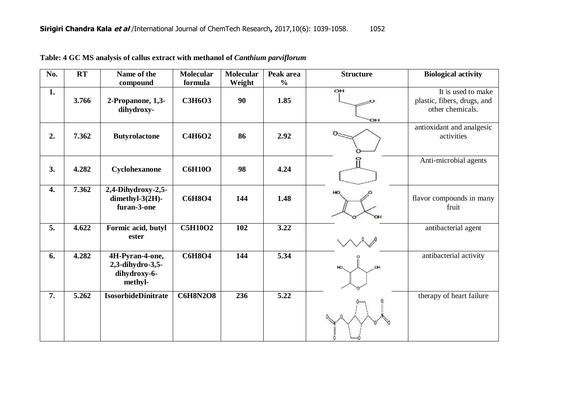| No. | RT    | Name of the<br>compound                                        | <b>Molecular</b><br>formula | <b>Molecular</b><br>Weight | Peak area<br>$\frac{0}{0}$ | <b>Structure</b> | <b>Biological activity</b>                                            |
|-----|-------|----------------------------------------------------------------|-----------------------------|----------------------------|----------------------------|------------------|-----------------------------------------------------------------------|
| 1.  | 3.766 | 2-Propanone, 1,3-<br>dihydroxy-                                | <b>C3H6O3</b>               | 90                         | 1.85                       | OH<br>OН         | It is used to make<br>plastic, fibers, drugs, and<br>other chemicals. |
| 2.  | 7.362 | <b>Butyrolactone</b>                                           | <b>C4H6O2</b>               | 86                         | 2.92                       |                  | antioxidant and analgesic<br>activities                               |
| 3.  | 4.282 | Cyclohexanone                                                  | <b>C6H10O</b>               | 98                         | 4.24                       |                  | Anti-microbial agents                                                 |
| 4.  | 7.362 | 2,4-Dihydroxy-2,5-<br>dimethyl-3(2H)-<br>furan-3-one           | <b>C6H8O4</b>               | 144                        | 1.48                       | HO               | flavor compounds in many<br>fruit                                     |
| 5.  | 4.622 | Formic acid, butyl<br>ester                                    | <b>C5H10O2</b>              | 102                        | 3.22                       |                  | antibacterial agent                                                   |
| 6.  | 4.282 | 4H-Pyran-4-one,<br>2,3-dihydro-3,5-<br>dihydroxy-6-<br>methyl- | <b>C6H8O4</b>               | 144                        | 5.34                       |                  | antibacterial activity                                                |
| 7.  | 5.262 | <b>IsosorbideDinitrate</b>                                     | <b>C6H8N2O8</b>             | 236                        | 5.22                       |                  | therapy of heart failure                                              |

|  |  |  |  |  |  | Table: 4 GC MS analysis of callus extract with methanol of <i>Canthium parviflorum</i> |  |  |  |
|--|--|--|--|--|--|----------------------------------------------------------------------------------------|--|--|--|
|  |  |  |  |  |  |                                                                                        |  |  |  |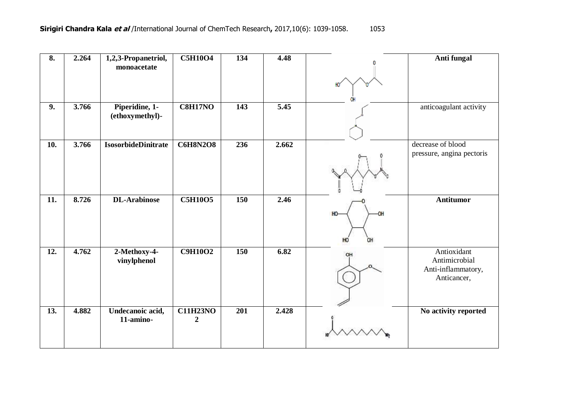| 8.  | 2.264 | 1,2,3-Propanetriol,               | <b>C5H10O4</b>                      | 134 | 4.48              |                             | Anti fungal                                                       |
|-----|-------|-----------------------------------|-------------------------------------|-----|-------------------|-----------------------------|-------------------------------------------------------------------|
|     |       | monoacetate                       |                                     |     |                   | HO                          |                                                                   |
| 9.  | 3.766 | Piperidine, 1-<br>(ethoxymethyl)- | <b>C8H17NO</b>                      | 143 | $\overline{5.45}$ |                             | anticoagulant activity                                            |
| 10. | 3.766 | <b>IsosorbideDinitrate</b>        | <b>C6H8N2O8</b>                     | 236 | 2.662             |                             | decrease of blood<br>pressure, angina pectoris                    |
| 11. | 8.726 | <b>DL-Arabinose</b>               | <b>C5H10O5</b>                      | 150 | 2.46              | H <sub>0</sub><br>HO.<br>OH | <b>Antitumor</b>                                                  |
| 12. | 4.762 | 2-Methoxy-4-<br>vinylphenol       | <b>C9H10O2</b>                      | 150 | 6.82              | 아                           | Antioxidant<br>Antimicrobial<br>Anti-inflammatory,<br>Anticancer, |
| 13. | 4.882 | Undecanoic acid,<br>11-amino-     | <b>C11H23NO</b><br>$\boldsymbol{2}$ | 201 | 2.428             |                             | No activity reported                                              |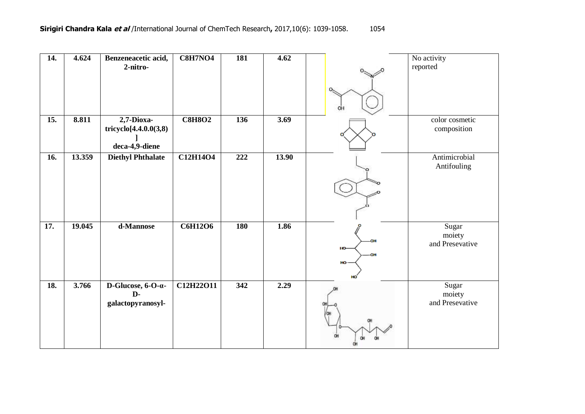| 14. | 4.624  | Benzeneacetic acid,<br>2-nitro-                                    | <b>C8H7NO4</b> | <b>181</b> | 4.62  |          | No activity<br>reported            |
|-----|--------|--------------------------------------------------------------------|----------------|------------|-------|----------|------------------------------------|
|     |        |                                                                    |                |            |       |          |                                    |
|     |        |                                                                    |                |            |       | ΟH       |                                    |
| 15. | 8.811  | 2,7-Dioxa-<br>tricyclo[4.4.0.0(3,8)<br>deca-4,9-diene              | <b>C8H8O2</b>  | 136        | 3.69  |          | color cosmetic<br>composition      |
| 16. | 13.359 | <b>Diethyl Phthalate</b>                                           | C12H14O4       | 222        | 13.90 |          | Antimicrobial<br>Antifouling       |
|     |        |                                                                    |                |            |       |          |                                    |
|     |        |                                                                    |                |            |       |          |                                    |
|     |        |                                                                    |                |            |       |          |                                    |
| 17. | 19.045 | d-Mannose                                                          | <b>C6H12O6</b> | <b>180</b> | 1.86  |          | Sugar<br>moiety                    |
|     |        |                                                                    |                |            |       | OН<br>ю. | and Presevative                    |
|     |        |                                                                    |                |            |       | HO-      |                                    |
|     |        |                                                                    |                |            |       |          |                                    |
| 18. | 3.766  | D-Glucose, $6$ -O- $\alpha$ -<br>$\mathbf{D}$<br>galactopyranosyl- | C12H22O11      | 342        | 2.29  |          | Sugar<br>moiety<br>and Presevative |
|     |        |                                                                    |                |            |       |          |                                    |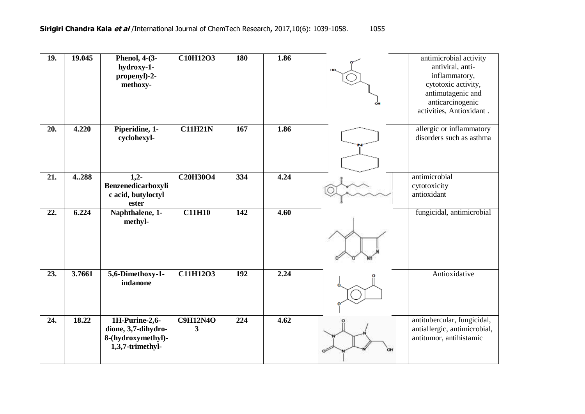| <b>19.</b> | 19.045 | <b>Phenol</b> , 4-(3-<br>hydroxy-1-<br>propenyl)-2-<br>methoxy-                 | <b>C10H12O3</b>      | <b>180</b> | 1.86 | antimicrobial activity<br>antiviral, anti-<br>inflammatory,<br>cytotoxic activity,<br>antimutagenic and<br>anticarcinogenic<br>activities, Antioxidant. |
|------------|--------|---------------------------------------------------------------------------------|----------------------|------------|------|---------------------------------------------------------------------------------------------------------------------------------------------------------|
| 20.        | 4.220  | Piperidine, 1-<br>cyclohexyl-                                                   | <b>C11H21N</b>       | 167        | 1.86 | allergic or inflammatory<br>disorders such as asthma                                                                                                    |
| 21.        | 4288   | $1,2-$<br>Benzenedicarboxyli<br>c acid, butyloctyl<br>ester                     | C20H30O4             | 334        | 4.24 | antimicrobial<br>cytotoxicity<br>antioxidant                                                                                                            |
| 22.        | 6.224  | Naphthalene, 1-<br>methyl-                                                      | <b>C11H10</b>        | 142        | 4.60 | fungicidal, antimicrobial                                                                                                                               |
| 23.        | 3.7661 | 5,6-Dimethoxy-1-<br>indanone                                                    | C11H12O3             | 192        | 2.24 | Antioxidative                                                                                                                                           |
| 24.        | 18.22  | 1H-Purine-2,6-<br>dione, 3,7-dihydro-<br>8-(hydroxymethyl)-<br>1,3,7-trimethyl- | <b>C9H12N4O</b><br>3 | 224        | 4.62 | antitubercular, fungicidal,<br>antiallergic, antimicrobial,<br>antitumor, antihistamic                                                                  |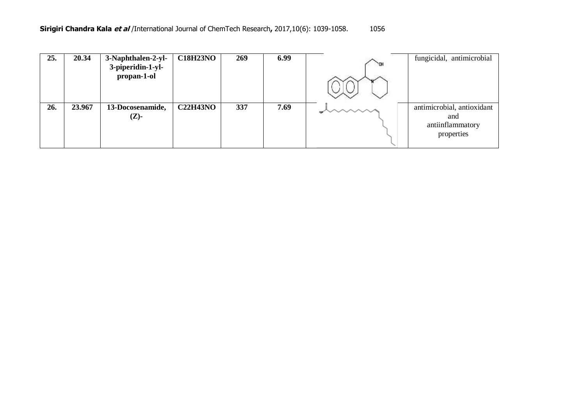| 25. | 20.34  | 3-Naphthalen-2-yl-<br>3-piperidin-1-yl-<br>propan-1-ol | <b>C18H23NO</b> | 269 | 6.99 | <b>DOM</b> | fungicidal, antimicrobial                                           |
|-----|--------|--------------------------------------------------------|-----------------|-----|------|------------|---------------------------------------------------------------------|
| 26. | 23.967 | 13-Docosenamide,<br>$(Z)-$                             | <b>C22H43NO</b> | 337 | 7.69 |            | antimicrobial, antioxidant<br>and<br>antiinflammatory<br>properties |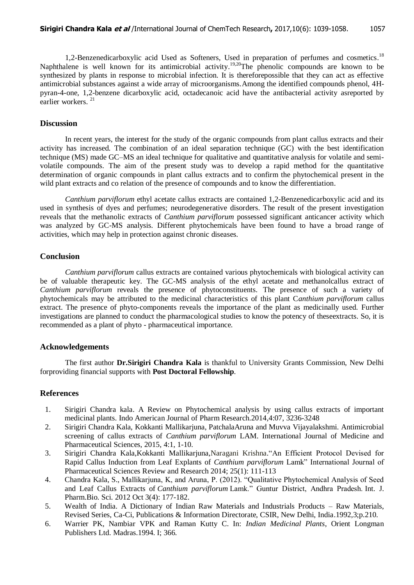1,2-Benzenedicarboxylic acid Used as Softeners, Used in preparation of perfumes and cosmetics.<sup>18</sup> Naphthalene is well known for its antimicrobial activity.<sup>19,20</sup>The phenolic compounds are known to be synthesized by plants in response to microbial infection. It is thereforepossible that they can act as effective antimicrobial substances against a wide array of microorganisms.Among the identified compounds phenol, 4Hpyran-4-one, 1,2-benzene dicarboxylic acid, octadecanoic acid have the antibacterial activity asreported by earlier workers. 21

#### **Discussion**

In recent years, the interest for the study of the organic compounds from plant callus extracts and their activity has increased. The combination of an ideal separation technique (GC) with the best identification technique (MS) made GC–MS an ideal technique for qualitative and quantitative analysis for volatile and semivolatile compounds. The aim of the present study was to develop a rapid method for the quantitative determination of organic compounds in plant callus extracts and to confirm the phytochemical present in the wild plant extracts and co relation of the presence of compounds and to know the differentiation.

*Canthium parviflorum* ethyl acetate callus extracts are contained 1,2-Benzenedicarboxylic acid and its used in synthesis of dyes and perfumes; neurodegenerative disorders. The result of the present investigation reveals that the methanolic extracts of *Canthium parviflorum* possessed significant anticancer activity which was analyzed by GC-MS analysis. Different phytochemicals have been found to have a broad range of activities, which may help in protection against chronic diseases.

#### **Conclusion**

*Canthium parviflorum* callus extracts are contained various phytochemicals with biological activity can be of valuable therapeutic key. The GC-MS analysis of the ethyl acetate and methanolcallus extract of *Canthium parviflorum* reveals the presence of phytoconstituents. The presence of such a variety of phytochemicals may be attributed to the medicinal characteristics of this plant C*anthium parviflorum* callus extract. The presence of phyto-components reveals the importance of the plant as medicinally used. Further investigations are planned to conduct the pharmacological studies to know the potency of theseextracts. So, it is recommended as a plant of phyto - pharmaceutical importance.

#### **Acknowledgements**

The first author **Dr.Sirigiri Chandra Kala** is thankful to University Grants Commission, New Delhi forproviding financial supports with **Post Doctoral Fellowship**.

#### **References**

- 1. Sirigiri Chandra kala. A Review on Phytochemical analysis by using callus extracts of important medicinal plants. Indo American Journal of Pharm Research.2014,4:07, 3236-3248
- 2. Sirigiri Chandra Kala, Kokkanti Mallikarjuna, PatchalaAruna and Muvva Vijayalakshmi. Antimicrobial screening of callus extracts of *Canthium parviflorum* LAM. International Journal of Medicine and Pharmaceutical Sciences, 2015, 4:1, 1-10.
- 3. Sirigiri Chandra Kala,Kokkanti Mallikarjuna,Naragani Krishna."An Efficient Protocol Devised for Rapid Callus Induction from Leaf Explants of *Canthium parviflorum* Lamk" International Journal of Pharmaceutical Sciences Review and Research 2014; 25(1): 111-113
- 4. Chandra Kala, S., Mallikarjuna, K, and Aruna, P. (2012). "Qualitative Phytochemical Analysis of Seed and Leaf Callus Extracts of *Canthium parviflorum* Lamk." Guntur District, Andhra Pradesh. Int. J. Pharm.Bio. Sci. 2012 Oct 3(4): 177-182.
- 5. Wealth of India. A Dictionary of Indian Raw Materials and Industrials Products Raw Materials, Revised Series, Ca-Ci, Publications & Information Directorate, CSIR, New Delhi, India.1992,3;p.210.
- 6. Warrier PK, Nambiar VPK and Raman Kutty C. In: *Indian Medicinal Plants*, Orient Longman Publishers Ltd. Madras.1994. I; 366.